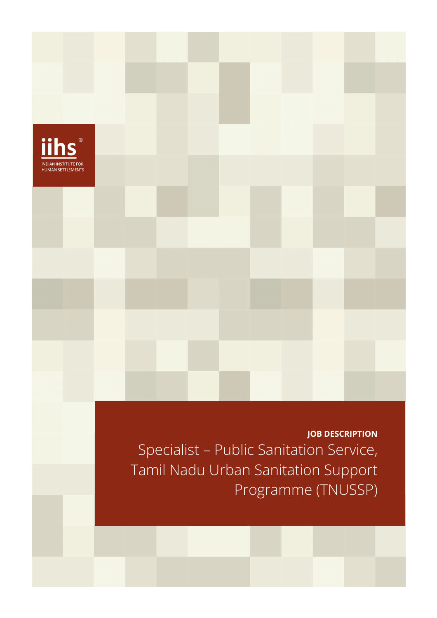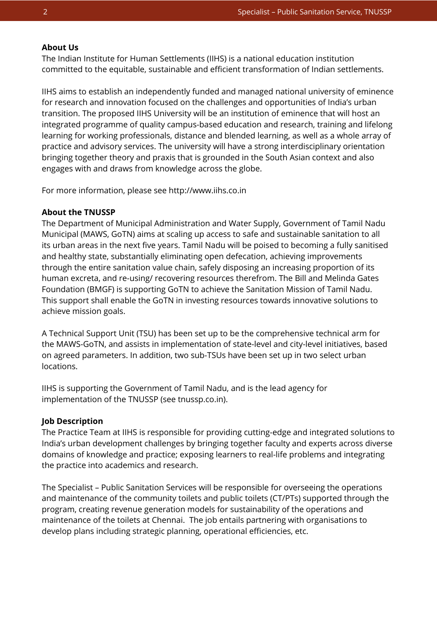### **About Us**

The Indian Institute for Human Settlements (IIHS) is a national education institution committed to the equitable, sustainable and efficient transformation of Indian settlements.

IIHS aims to establish an independently funded and managed national university of eminence for research and innovation focused on the challenges and opportunities of India's urban transition. The proposed IIHS University will be an institution of eminence that will host an integrated programme of quality campus-based education and research, training and lifelong learning for working professionals, distance and blended learning, as well as a whole array of practice and advisory services. The university will have a strong interdisciplinary orientation bringing together theory and praxis that is grounded in the South Asian context and also engages with and draws from knowledge across the globe.

For more information, please see http://www.iihs.co.in

### **About the TNUSSP**

The Department of Municipal Administration and Water Supply, Government of Tamil Nadu Municipal (MAWS, GoTN) aims at scaling up access to safe and sustainable sanitation to all its urban areas in the next five years. Tamil Nadu will be poised to becoming a fully sanitised and healthy state, substantially eliminating open defecation, achieving improvements through the entire sanitation value chain, safely disposing an increasing proportion of its human excreta, and re-using/ recovering resources therefrom. The Bill and Melinda Gates Foundation (BMGF) is supporting GoTN to achieve the Sanitation Mission of Tamil Nadu. This support shall enable the GoTN in investing resources towards innovative solutions to achieve mission goals.

A Technical Support Unit (TSU) has been set up to be the comprehensive technical arm for the MAWS-GoTN, and assists in implementation of state-level and city-level initiatives, based on agreed parameters. In addition, two sub-TSUs have been set up in two select urban locations.

IIHS is supporting the Government of Tamil Nadu, and is the lead agency for implementation of the TNUSSP (see tnussp.co.in).

#### **Job Description**

The Practice Team at IIHS is responsible for providing cutting-edge and integrated solutions to India's urban development challenges by bringing together faculty and experts across diverse domains of knowledge and practice; exposing learners to real-life problems and integrating the practice into academics and research.

The Specialist – Public Sanitation Services will be responsible for overseeing the operations and maintenance of the community toilets and public toilets (CT/PTs) supported through the program, creating revenue generation models for sustainability of the operations and maintenance of the toilets at Chennai. The job entails partnering with organisations to develop plans including strategic planning, operational efficiencies, etc.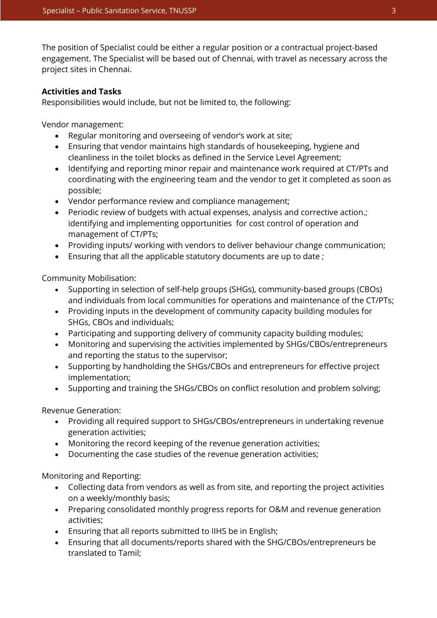The position of Specialist could be either a regular position or a contractual project-based engagement. The Specialist will be based out of Chennai, with travel as necessary across the project sites in Chennai.

## **Activities and Tasks**

Responsibilities would include, but not be limited to, the following:

Vendor management:

- Regular monitoring and overseeing of vendor's work at site;
- Ensuring that vendor maintains high standards of housekeeping, hygiene and cleanliness in the toilet blocks as defined in the Service Level Agreement;
- Identifying and reporting minor repair and maintenance work required at CT/PTs and coordinating with the engineering team and the vendor to get it completed as soon as possible;
- Vendor performance review and compliance management;
- Periodic review of budgets with actual expenses, analysis and corrective action.; identifying and implementing opportunities for cost control of operation and management of CT/PTs;
- Providing inputs/ working with vendors to deliver behaviour change communication;
- Ensuring that all the applicable statutory documents are up to date ;

Community Mobilisation:

- Supporting in selection of self-help groups (SHGs), community-based groups (CBOs) and individuals from local communities for operations and maintenance of the CT/PTs;
- Providing inputs in the development of community capacity building modules for SHGs, CBOs and individuals;
- Participating and supporting delivery of community capacity building modules;
- Monitoring and supervising the activities implemented by SHGs/CBOs/entrepreneurs and reporting the status to the supervisor;
- Supporting by handholding the SHGs/CBOs and entrepreneurs for effective project implementation;
- Supporting and training the SHGs/CBOs on conflict resolution and problem solving;

Revenue Generation:

- Providing all required support to SHGs/CBOs/entrepreneurs in undertaking revenue generation activities;
- Monitoring the record keeping of the revenue generation activities;
- Documenting the case studies of the revenue generation activities;

Monitoring and Reporting:

- Collecting data from vendors as well as from site, and reporting the project activities on a weekly/monthly basis;
- Preparing consolidated monthly progress reports for O&M and revenue generation activities;
- Ensuring that all reports submitted to IIHS be in English;
- Ensuring that all documents/reports shared with the SHG/CBOs/entrepreneurs be translated to Tamil;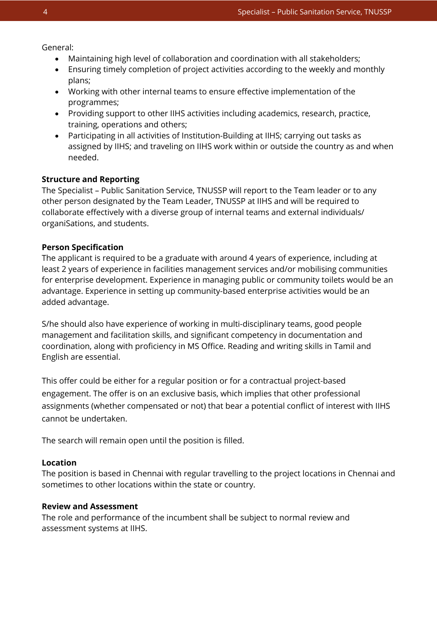General:

- Maintaining high level of collaboration and coordination with all stakeholders;
- Ensuring timely completion of project activities according to the weekly and monthly plans;
- Working with other internal teams to ensure effective implementation of the programmes;
- Providing support to other IIHS activities including academics, research, practice, training, operations and others;
- Participating in all activities of Institution-Building at IIHS; carrying out tasks as assigned by IIHS; and traveling on IIHS work within or outside the country as and when needed.

## **Structure and Reporting**

The Specialist – Public Sanitation Service, TNUSSP will report to the Team leader or to any other person designated by the Team Leader, TNUSSP at IIHS and will be required to collaborate effectively with a diverse group of internal teams and external individuals/ organiSations, and students.

## **Person Specification**

The applicant is required to be a graduate with around 4 years of experience, including at least 2 years of experience in facilities management services and/or mobilising communities for enterprise development. Experience in managing public or community toilets would be an advantage. Experience in setting up community-based enterprise activities would be an added advantage.

S/he should also have experience of working in multi-disciplinary teams, good people management and facilitation skills, and significant competency in documentation and coordination, along with proficiency in MS Office. Reading and writing skills in Tamil and English are essential.

This offer could be either for a regular position or for a contractual project-based engagement. The offer is on an exclusive basis, which implies that other professional assignments (whether compensated or not) that bear a potential conflict of interest with IIHS cannot be undertaken.

The search will remain open until the position is filled.

# **Location**

The position is based in Chennai with regular travelling to the project locations in Chennai and sometimes to other locations within the state or country.

### **Review and Assessment**

The role and performance of the incumbent shall be subject to normal review and assessment systems at IIHS.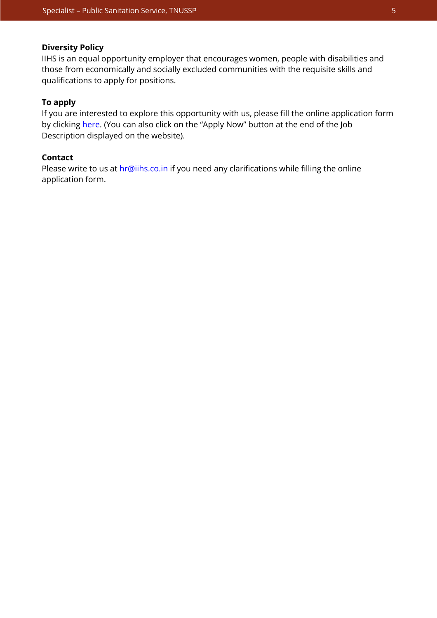### **Diversity Policy**

IIHS is an equal opportunity employer that encourages women, people with disabilities and those from economically and socially excluded communities with the requisite skills and qualifications to apply for positions.

## **To apply**

If you are interested to explore this opportunity with us, please fill the online application form by clickin[g here. \(](https://iihs.co.in/job-application/)You can also click on the "Apply Now" button at the end of the Job Description displayed on the website).

# **Contact**

Please write to us at **hr@iihs.co.in** if you need any clarifications while filling the online application form.